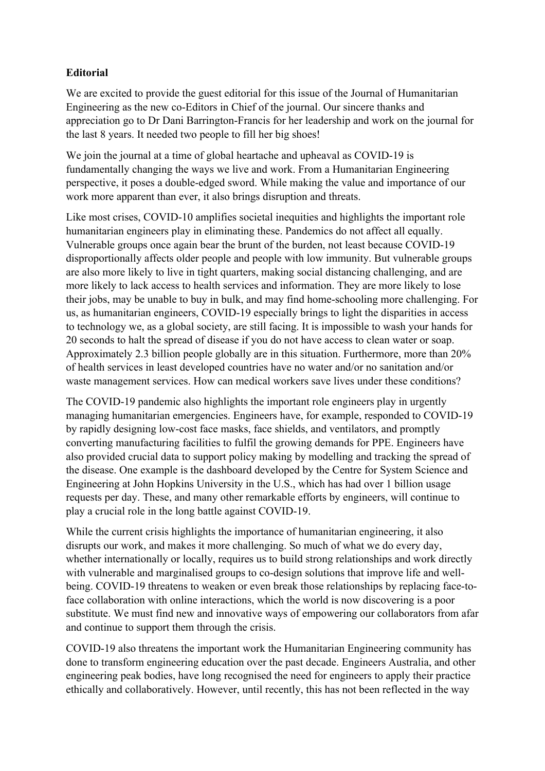## **Editorial**

We are excited to provide the guest editorial for this issue of the Journal of Humanitarian Engineering as the new co-Editors in Chief of the journal. Our sincere thanks and appreciation go to Dr Dani Barrington-Francis for her leadership and work on the journal for the last 8 years. It needed two people to fill her big shoes!

We join the journal at a time of global heartache and upheaval as COVID-19 is fundamentally changing the ways we live and work. From a Humanitarian Engineering perspective, it poses a double-edged sword. While making the value and importance of our work more apparent than ever, it also brings disruption and threats.

Like most crises, COVID-10 amplifies societal inequities and highlights the important role humanitarian engineers play in eliminating these. Pandemics do not affect all equally. Vulnerable groups once again bear the brunt of the burden, not least because COVID-19 disproportionally affects older people and people with low immunity. But vulnerable groups are also more likely to live in tight quarters, making social distancing challenging, and are more likely to lack access to health services and information. They are more likely to lose their jobs, may be unable to buy in bulk, and may find home-schooling more challenging. For us, as humanitarian engineers, COVID-19 especially brings to light the disparities in access to technology we, as a global society, are still facing. It is impossible to wash your hands for 20 seconds to halt the spread of disease if you do not have access to clean water or soap. Approximately 2.3 billion people globally are in this situation. Furthermore, more than 20% of health services in least developed countries have no water and/or no sanitation and/or waste management services. How can medical workers save lives under these conditions?

The COVID-19 pandemic also highlights the important role engineers play in urgently managing humanitarian emergencies. Engineers have, for example, responded to COVID-19 by rapidly designing low-cost face masks, face shields, and ventilators, and promptly converting manufacturing facilities to fulfil the growing demands for PPE. Engineers have also provided crucial data to support policy making by modelling and tracking the spread of the disease. One example is the dashboard developed by the Centre for System Science and Engineering at John Hopkins University in the U.S., which has had over 1 billion usage requests per day. These, and many other remarkable efforts by engineers, will continue to play a crucial role in the long battle against COVID-19.

While the current crisis highlights the importance of humanitarian engineering, it also disrupts our work, and makes it more challenging. So much of what we do every day, whether internationally or locally, requires us to build strong relationships and work directly with vulnerable and marginalised groups to co-design solutions that improve life and wellbeing. COVID-19 threatens to weaken or even break those relationships by replacing face-toface collaboration with online interactions, which the world is now discovering is a poor substitute. We must find new and innovative ways of empowering our collaborators from afar and continue to support them through the crisis.

COVID-19 also threatens the important work the Humanitarian Engineering community has done to transform engineering education over the past decade. Engineers Australia, and other engineering peak bodies, have long recognised the need for engineers to apply their practice ethically and collaboratively. However, until recently, this has not been reflected in the way